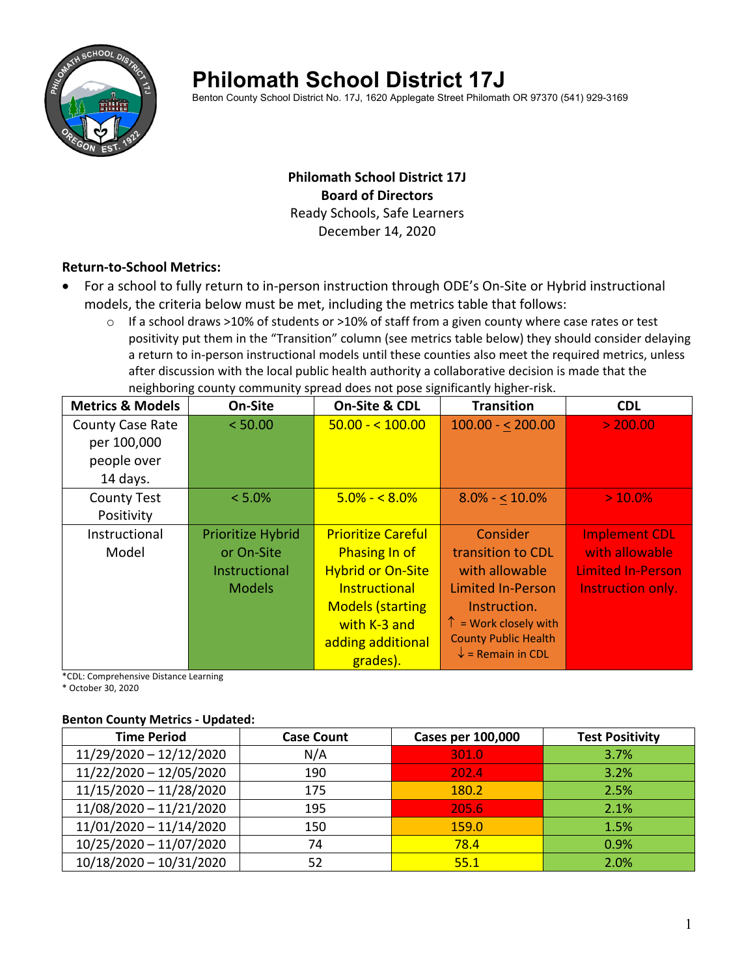

# **Philomath School District 17J**

Benton County School District No. 17J, 1620 Applegate Street Philomath OR 97370 (541) 929-3169

# **Philomath School District 17J Board of Directors** Ready Schools, Safe Learners December 14, 2020

### **Return‐to‐School Metrics:**

- For a school to fully return to in‐person instruction through ODE's On‐Site or Hybrid instructional models, the criteria below must be met, including the metrics table that follows:
	- $\circ$  If a school draws >10% of students or >10% of staff from a given county where case rates or test positivity put them in the "Transition" column (see metrics table below) they should consider delaying a return to in‐person instructional models until these counties also meet the required metrics, unless after discussion with the local public health authority a collaborative decision is made that the neighboring county community spread does not pose significantly higher‐risk.

| <b>Metrics &amp; Models</b> | On-Site              | On-Site & CDL             | <b>Transition</b>              | <b>CDL</b>               |
|-----------------------------|----------------------|---------------------------|--------------------------------|--------------------------|
| <b>County Case Rate</b>     | < 50.00              | $50.00 - 5100.00$         | $100.00 - 200.00$              | > 200.00                 |
| per 100,000                 |                      |                           |                                |                          |
| people over                 |                      |                           |                                |                          |
| 14 days.                    |                      |                           |                                |                          |
| <b>County Test</b>          | $< 5.0\%$            | $5.0\% - 5.0\%$           | $8.0\% - 10.0\%$               | $> 10.0\%$               |
| Positivity                  |                      |                           |                                |                          |
| Instructional               | Prioritize Hybrid    | <b>Prioritize Careful</b> | Consider                       | <b>Implement CDL</b>     |
| Model                       | or On-Site           | <b>Phasing In of</b>      | transition to CDL              | with allowable           |
|                             | <b>Instructional</b> | <b>Hybrid or On-Site</b>  | with allowable                 | <b>Limited In-Person</b> |
|                             | <b>Models</b>        | Instructional             | <b>Limited In-Person</b>       | Instruction only.        |
|                             |                      | <b>Models (starting</b>   | Instruction.                   |                          |
|                             |                      | with K-3 and              | $\uparrow$ = Work closely with |                          |
|                             |                      | adding additional         | <b>County Public Health</b>    |                          |
|                             |                      | grades).                  | $\downarrow$ = Remain in CDL   |                          |

\*CDL: Comprehensive Distance Learning

\* October 30, 2020

### **Benton County Metrics ‐ Updated:**

| <b>Time Period</b>        | <b>Case Count</b> | <b>Cases per 100,000</b> | <b>Test Positivity</b> |
|---------------------------|-------------------|--------------------------|------------------------|
| 11/29/2020 - 12/12/2020   | N/A               | 301.0                    | 3.7%                   |
| 11/22/2020 - 12/05/2020   | 190               | 202.4                    | 3.2%                   |
| 11/15/2020 - 11/28/2020   | 175               | 180.2                    | 2.5%                   |
| 11/08/2020 - 11/21/2020   | 195               | 205.6                    | 2.1%                   |
| $11/01/2020 - 11/14/2020$ | 150               | 159.0                    | 1.5%                   |
| 10/25/2020 - 11/07/2020   | 74                | 78.4                     | 0.9%                   |
| $10/18/2020 - 10/31/2020$ | 52                | 55.1                     | 2.0%                   |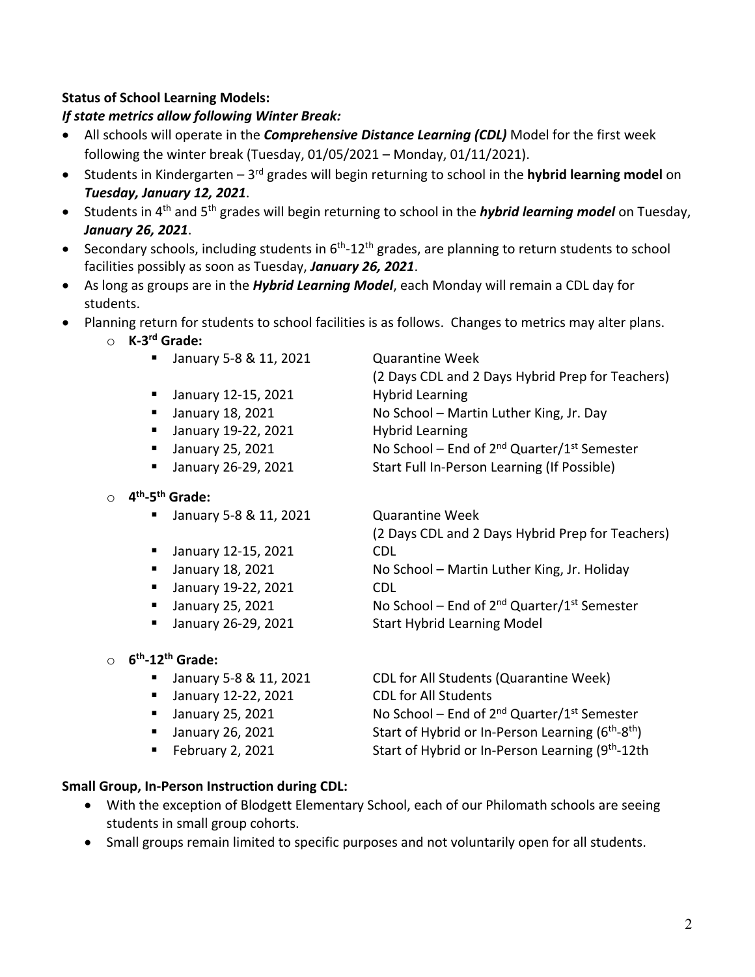# **Status of School Learning Models:**

# *If state metrics allow following Winter Break:*

- All schools will operate in the *Comprehensive Distance Learning (CDL)* Model for the first week following the winter break (Tuesday, 01/05/2021 – Monday, 01/11/2021).
- Students in Kindergarten 3rd grades will begin returning to school in the **hybrid learning model** on *Tuesday, January 12, 2021*.
- Students in 4th and 5th grades will begin returning to school in the *hybrid learning model* on Tuesday, *January 26, 2021*.
- Secondary schools, including students in  $6<sup>th</sup>$ -12<sup>th</sup> grades, are planning to return students to school facilities possibly as soon as Tuesday, *January 26, 2021*.
- As long as groups are in the *Hybrid Learning Model*, each Monday will remain a CDL day for students.
- Planning return for students to school facilities is as follows. Changes to metrics may alter plans.
	- o **K‐3rd Grade:**
		- January 5-8 & 11, 2021 Quarantine Week
		- January 12-15, 2021 Hybrid Learning
		- January 18, 2021 No School Martin Luther King, Jr. Day
		- January 19-22, 2021 Hybrid Learning
		-
		-
	- o **4th‐5th Grade:**
		- January 5-8 & 11, 2021 Quarantine Week
		- January 12-15, 2021 CDL
		-
		- January 19-22, 2021 CDL
		-
		-

# o **6th‐12th Grade:**

- 
- January 12-22, 2021 CDL for All Students
- 
- 
- 

(2 Days CDL and 2 Days Hybrid Prep for Teachers)

**January 25, 2021 No School – End of 2<sup>nd</sup> Quarter/1st Semester** 

■ January 26-29, 2021 Start Full In-Person Learning (If Possible)

(2 Days CDL and 2 Days Hybrid Prep for Teachers)

■ January 18, 2021 No School – Martin Luther King, Jr. Holiday

**January 25, 2021 No School – End of 2<sup>nd</sup> Quarter/1st Semester** ■ January 26-29, 2021 Start Hybrid Learning Model

■ January 5-8 & 11, 2021 CDL for All Students (Quarantine Week) **January 25, 2021 No School – End of 2<sup>nd</sup> Quarter/1st Semester**  January 26, 2021 Start of Hybrid or In‐Person Learning (6th‐8th) February 2, 2021 **Start of Hybrid or In-Person Learning (9th**-12th

# **Small Group, In‐Person Instruction during CDL:**

- With the exception of Blodgett Elementary School, each of our Philomath schools are seeing students in small group cohorts.
- Small groups remain limited to specific purposes and not voluntarily open for all students.